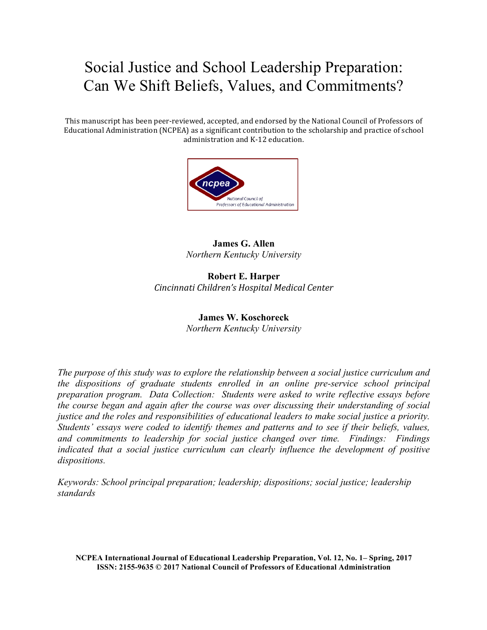# Social Justice and School Leadership Preparation: Can We Shift Beliefs, Values, and Commitments?

This manuscript has been peer-reviewed, accepted, and endorsed by the National Council of Professors of Educational Administration (NCPEA) as a significant contribution to the scholarship and practice of school administration and K-12 education.



## **James G. Allen** *Northern Kentucky University*

**Robert E. Harper** *Cincinnati Children's Hospital Medical Center*

## **James W. Koschoreck** *Northern Kentucky University*

*The purpose of this study was to explore the relationship between a social justice curriculum and the dispositions of graduate students enrolled in an online pre-service school principal preparation program. Data Collection: Students were asked to write reflective essays before the course began and again after the course was over discussing their understanding of social justice and the roles and responsibilities of educational leaders to make social justice a priority. Students' essays were coded to identify themes and patterns and to see if their beliefs, values, and commitments to leadership for social justice changed over time. Findings: Findings indicated that a social justice curriculum can clearly influence the development of positive dispositions.* 

*Keywords: School principal preparation; leadership; dispositions; social justice; leadership standards*

**NCPEA International Journal of Educational Leadership Preparation, Vol. 12, No. 1– Spring, 2017 ISSN: 2155-9635 © 2017 National Council of Professors of Educational Administration**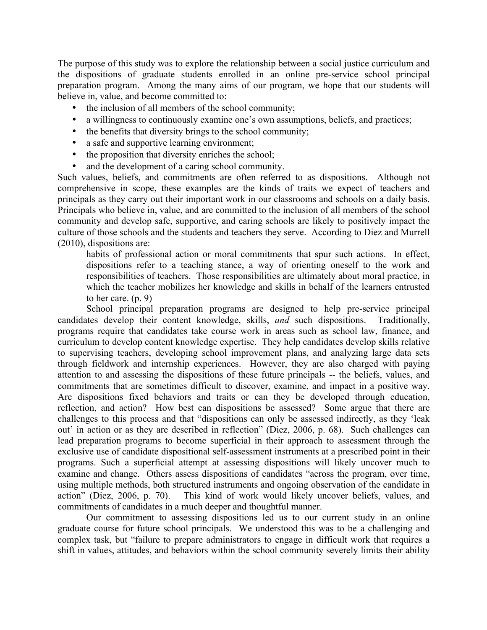The purpose of this study was to explore the relationship between a social justice curriculum and the dispositions of graduate students enrolled in an online pre-service school principal preparation program. Among the many aims of our program, we hope that our students will believe in, value, and become committed to:

- the inclusion of all members of the school community;
- a willingness to continuously examine one's own assumptions, beliefs, and practices;
- the benefits that diversity brings to the school community;
- a safe and supportive learning environment;
- the proposition that diversity enriches the school;
- and the development of a caring school community.

Such values, beliefs, and commitments are often referred to as dispositions. Although not comprehensive in scope, these examples are the kinds of traits we expect of teachers and principals as they carry out their important work in our classrooms and schools on a daily basis. Principals who believe in, value, and are committed to the inclusion of all members of the school community and develop safe, supportive, and caring schools are likely to positively impact the culture of those schools and the students and teachers they serve. According to Diez and Murrell (2010), dispositions are:

habits of professional action or moral commitments that spur such actions. In effect, dispositions refer to a teaching stance, a way of orienting oneself to the work and responsibilities of teachers. Those responsibilities are ultimately about moral practice, in which the teacher mobilizes her knowledge and skills in behalf of the learners entrusted to her care. (p. 9)

School principal preparation programs are designed to help pre-service principal candidates develop their content knowledge, skills, *and* such dispositions. Traditionally, programs require that candidates take course work in areas such as school law, finance, and curriculum to develop content knowledge expertise. They help candidates develop skills relative to supervising teachers, developing school improvement plans, and analyzing large data sets through fieldwork and internship experiences. However, they are also charged with paying attention to and assessing the dispositions of these future principals -- the beliefs, values, and commitments that are sometimes difficult to discover, examine, and impact in a positive way. Are dispositions fixed behaviors and traits or can they be developed through education, reflection, and action? How best can dispositions be assessed? Some argue that there are challenges to this process and that "dispositions can only be assessed indirectly, as they 'leak out' in action or as they are described in reflection" (Diez, 2006, p. 68). Such challenges can lead preparation programs to become superficial in their approach to assessment through the exclusive use of candidate dispositional self-assessment instruments at a prescribed point in their programs. Such a superficial attempt at assessing dispositions will likely uncover much to examine and change. Others assess dispositions of candidates "across the program, over time, using multiple methods, both structured instruments and ongoing observation of the candidate in action" (Diez, 2006, p. 70). This kind of work would likely uncover beliefs, values, and commitments of candidates in a much deeper and thoughtful manner.

Our commitment to assessing dispositions led us to our current study in an online graduate course for future school principals. We understood this was to be a challenging and complex task, but "failure to prepare administrators to engage in difficult work that requires a shift in values, attitudes, and behaviors within the school community severely limits their ability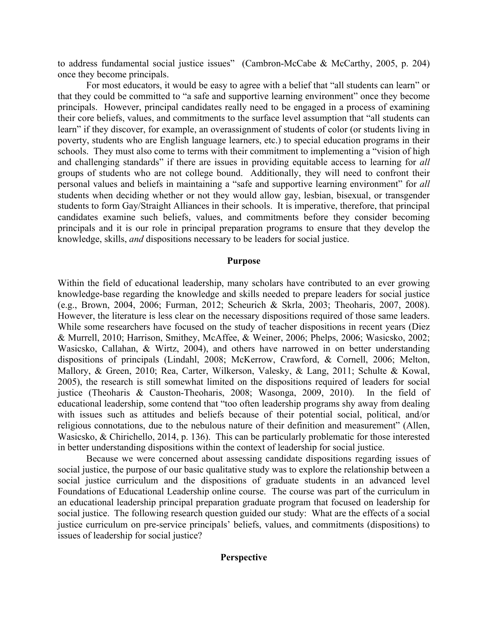to address fundamental social justice issues" (Cambron-McCabe & McCarthy, 2005, p. 204) once they become principals.

For most educators, it would be easy to agree with a belief that "all students can learn" or that they could be committed to "a safe and supportive learning environment" once they become principals. However, principal candidates really need to be engaged in a process of examining their core beliefs, values, and commitments to the surface level assumption that "all students can learn" if they discover, for example, an overassignment of students of color (or students living in poverty, students who are English language learners, etc.) to special education programs in their schools. They must also come to terms with their commitment to implementing a "vision of high and challenging standards" if there are issues in providing equitable access to learning for *all* groups of students who are not college bound. Additionally, they will need to confront their personal values and beliefs in maintaining a "safe and supportive learning environment" for *all* students when deciding whether or not they would allow gay, lesbian, bisexual, or transgender students to form Gay/Straight Alliances in their schools. It is imperative, therefore, that principal candidates examine such beliefs, values, and commitments before they consider becoming principals and it is our role in principal preparation programs to ensure that they develop the knowledge, skills, *and* dispositions necessary to be leaders for social justice.

#### **Purpose**

Within the field of educational leadership, many scholars have contributed to an ever growing knowledge-base regarding the knowledge and skills needed to prepare leaders for social justice (e.g., Brown, 2004, 2006; Furman, 2012; Scheurich & Skrla, 2003; Theoharis, 2007, 2008). However, the literature is less clear on the necessary dispositions required of those same leaders. While some researchers have focused on the study of teacher dispositions in recent years (Diez & Murrell, 2010; Harrison, Smithey, McAffee, & Weiner, 2006; Phelps, 2006; Wasicsko, 2002; Wasicsko, Callahan, & Wirtz, 2004), and others have narrowed in on better understanding dispositions of principals (Lindahl, 2008; McKerrow, Crawford, & Cornell, 2006; Melton, Mallory, & Green, 2010; Rea, Carter, Wilkerson, Valesky, & Lang, 2011; Schulte & Kowal, 2005), the research is still somewhat limited on the dispositions required of leaders for social justice (Theoharis & Causton-Theoharis, 2008; Wasonga, 2009, 2010). In the field of educational leadership, some contend that "too often leadership programs shy away from dealing with issues such as attitudes and beliefs because of their potential social, political, and/or religious connotations, due to the nebulous nature of their definition and measurement" (Allen, Wasicsko, & Chirichello, 2014, p. 136). This can be particularly problematic for those interested in better understanding dispositions within the context of leadership for social justice.

Because we were concerned about assessing candidate dispositions regarding issues of social justice, the purpose of our basic qualitative study was to explore the relationship between a social justice curriculum and the dispositions of graduate students in an advanced level Foundations of Educational Leadership online course. The course was part of the curriculum in an educational leadership principal preparation graduate program that focused on leadership for social justice. The following research question guided our study: What are the effects of a social justice curriculum on pre-service principals' beliefs, values, and commitments (dispositions) to issues of leadership for social justice?

#### **Perspective**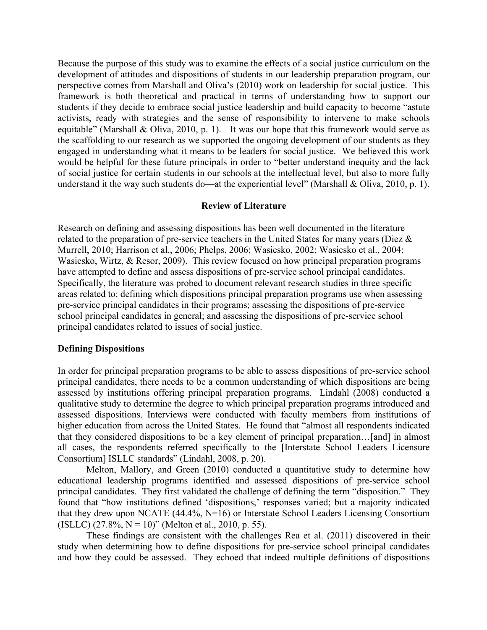Because the purpose of this study was to examine the effects of a social justice curriculum on the development of attitudes and dispositions of students in our leadership preparation program, our perspective comes from Marshall and Oliva's (2010) work on leadership for social justice. This framework is both theoretical and practical in terms of understanding how to support our students if they decide to embrace social justice leadership and build capacity to become "astute activists, ready with strategies and the sense of responsibility to intervene to make schools equitable" (Marshall & Oliva, 2010, p. 1). It was our hope that this framework would serve as the scaffolding to our research as we supported the ongoing development of our students as they engaged in understanding what it means to be leaders for social justice. We believed this work would be helpful for these future principals in order to "better understand inequity and the lack of social justice for certain students in our schools at the intellectual level, but also to more fully understand it the way such students do—at the experiential level" (Marshall & Oliva, 2010, p. 1).

## **Review of Literature**

Research on defining and assessing dispositions has been well documented in the literature related to the preparation of pre-service teachers in the United States for many years (Diez & Murrell, 2010; Harrison et al., 2006; Phelps, 2006; Wasicsko, 2002; Wasicsko et al., 2004; Wasicsko, Wirtz, & Resor, 2009). This review focused on how principal preparation programs have attempted to define and assess dispositions of pre-service school principal candidates. Specifically, the literature was probed to document relevant research studies in three specific areas related to: defining which dispositions principal preparation programs use when assessing pre-service principal candidates in their programs; assessing the dispositions of pre-service school principal candidates in general; and assessing the dispositions of pre-service school principal candidates related to issues of social justice.

#### **Defining Dispositions**

In order for principal preparation programs to be able to assess dispositions of pre-service school principal candidates, there needs to be a common understanding of which dispositions are being assessed by institutions offering principal preparation programs. Lindahl (2008) conducted a qualitative study to determine the degree to which principal preparation programs introduced and assessed dispositions. Interviews were conducted with faculty members from institutions of higher education from across the United States. He found that "almost all respondents indicated that they considered dispositions to be a key element of principal preparation…[and] in almost all cases, the respondents referred specifically to the [Interstate School Leaders Licensure Consortium] ISLLC standards" (Lindahl, 2008, p. 20).

Melton, Mallory, and Green (2010) conducted a quantitative study to determine how educational leadership programs identified and assessed dispositions of pre-service school principal candidates. They first validated the challenge of defining the term "disposition." They found that "how institutions defined 'dispositions,' responses varied; but a majority indicated that they drew upon NCATE (44.4%, N=16) or Interstate School Leaders Licensing Consortium (ISLLC)  $(27.8\%, N = 10)$ " (Melton et al., 2010, p. 55).

These findings are consistent with the challenges Rea et al. (2011) discovered in their study when determining how to define dispositions for pre-service school principal candidates and how they could be assessed. They echoed that indeed multiple definitions of dispositions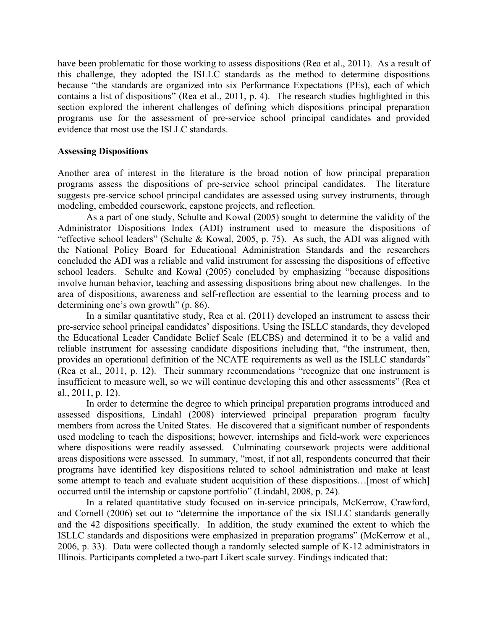have been problematic for those working to assess dispositions (Rea et al., 2011). As a result of this challenge, they adopted the ISLLC standards as the method to determine dispositions because "the standards are organized into six Performance Expectations (PEs), each of which contains a list of dispositions" (Rea et al., 2011, p. 4). The research studies highlighted in this section explored the inherent challenges of defining which dispositions principal preparation programs use for the assessment of pre-service school principal candidates and provided evidence that most use the ISLLC standards.

#### **Assessing Dispositions**

Another area of interest in the literature is the broad notion of how principal preparation programs assess the dispositions of pre-service school principal candidates. The literature suggests pre-service school principal candidates are assessed using survey instruments, through modeling, embedded coursework, capstone projects, and reflection.

As a part of one study, Schulte and Kowal (2005) sought to determine the validity of the Administrator Dispositions Index (ADI) instrument used to measure the dispositions of "effective school leaders" (Schulte & Kowal, 2005, p. 75). As such, the ADI was aligned with the National Policy Board for Educational Administration Standards and the researchers concluded the ADI was a reliable and valid instrument for assessing the dispositions of effective school leaders. Schulte and Kowal (2005) concluded by emphasizing "because dispositions involve human behavior, teaching and assessing dispositions bring about new challenges. In the area of dispositions, awareness and self-reflection are essential to the learning process and to determining one's own growth" (p. 86).

In a similar quantitative study, Rea et al. (2011) developed an instrument to assess their pre-service school principal candidates' dispositions. Using the ISLLC standards, they developed the Educational Leader Candidate Belief Scale (ELCBS) and determined it to be a valid and reliable instrument for assessing candidate dispositions including that, "the instrument, then, provides an operational definition of the NCATE requirements as well as the ISLLC standards" (Rea et al., 2011, p. 12). Their summary recommendations "recognize that one instrument is insufficient to measure well, so we will continue developing this and other assessments" (Rea et al., 2011, p. 12).

In order to determine the degree to which principal preparation programs introduced and assessed dispositions, Lindahl (2008) interviewed principal preparation program faculty members from across the United States. He discovered that a significant number of respondents used modeling to teach the dispositions; however, internships and field-work were experiences where dispositions were readily assessed. Culminating coursework projects were additional areas dispositions were assessed. In summary, "most, if not all, respondents concurred that their programs have identified key dispositions related to school administration and make at least some attempt to teach and evaluate student acquisition of these dispositions…[most of which] occurred until the internship or capstone portfolio" (Lindahl, 2008, p. 24).

In a related quantitative study focused on in-service principals, McKerrow, Crawford, and Cornell (2006) set out to "determine the importance of the six ISLLC standards generally and the 42 dispositions specifically. In addition, the study examined the extent to which the ISLLC standards and dispositions were emphasized in preparation programs" (McKerrow et al., 2006, p. 33). Data were collected though a randomly selected sample of K-12 administrators in Illinois. Participants completed a two-part Likert scale survey. Findings indicated that: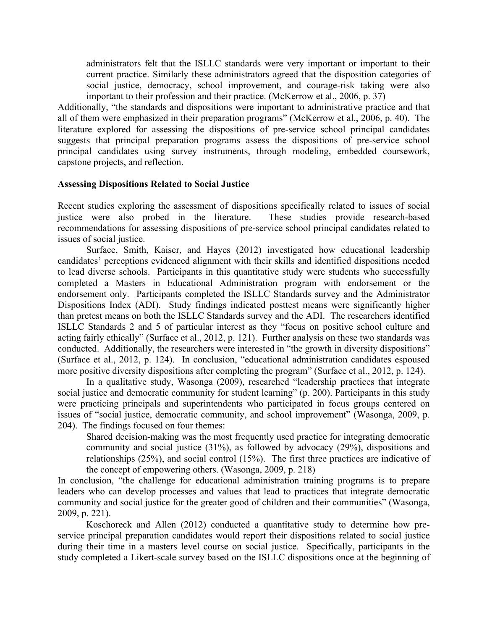administrators felt that the ISLLC standards were very important or important to their current practice. Similarly these administrators agreed that the disposition categories of social justice, democracy, school improvement, and courage-risk taking were also important to their profession and their practice. (McKerrow et al., 2006, p. 37)

Additionally, "the standards and dispositions were important to administrative practice and that all of them were emphasized in their preparation programs" (McKerrow et al., 2006, p. 40). The literature explored for assessing the dispositions of pre-service school principal candidates suggests that principal preparation programs assess the dispositions of pre-service school principal candidates using survey instruments, through modeling, embedded coursework, capstone projects, and reflection.

#### **Assessing Dispositions Related to Social Justice**

Recent studies exploring the assessment of dispositions specifically related to issues of social justice were also probed in the literature. These studies provide research-based recommendations for assessing dispositions of pre-service school principal candidates related to issues of social justice.

Surface, Smith, Kaiser, and Hayes (2012) investigated how educational leadership candidates' perceptions evidenced alignment with their skills and identified dispositions needed to lead diverse schools. Participants in this quantitative study were students who successfully completed a Masters in Educational Administration program with endorsement or the endorsement only. Participants completed the ISLLC Standards survey and the Administrator Dispositions Index (ADI). Study findings indicated posttest means were significantly higher than pretest means on both the ISLLC Standards survey and the ADI. The researchers identified ISLLC Standards 2 and 5 of particular interest as they "focus on positive school culture and acting fairly ethically" (Surface et al., 2012, p. 121). Further analysis on these two standards was conducted. Additionally, the researchers were interested in "the growth in diversity dispositions" (Surface et al., 2012, p. 124). In conclusion, "educational administration candidates espoused more positive diversity dispositions after completing the program" (Surface et al., 2012, p. 124).

In a qualitative study, Wasonga (2009), researched "leadership practices that integrate social justice and democratic community for student learning" (p. 200). Participants in this study were practicing principals and superintendents who participated in focus groups centered on issues of "social justice, democratic community, and school improvement" (Wasonga, 2009, p. 204). The findings focused on four themes:

Shared decision-making was the most frequently used practice for integrating democratic community and social justice (31%), as followed by advocacy (29%), dispositions and relationships (25%), and social control (15%). The first three practices are indicative of the concept of empowering others. (Wasonga, 2009, p. 218)

In conclusion, "the challenge for educational administration training programs is to prepare leaders who can develop processes and values that lead to practices that integrate democratic community and social justice for the greater good of children and their communities" (Wasonga, 2009, p. 221).

Koschoreck and Allen (2012) conducted a quantitative study to determine how preservice principal preparation candidates would report their dispositions related to social justice during their time in a masters level course on social justice. Specifically, participants in the study completed a Likert-scale survey based on the ISLLC dispositions once at the beginning of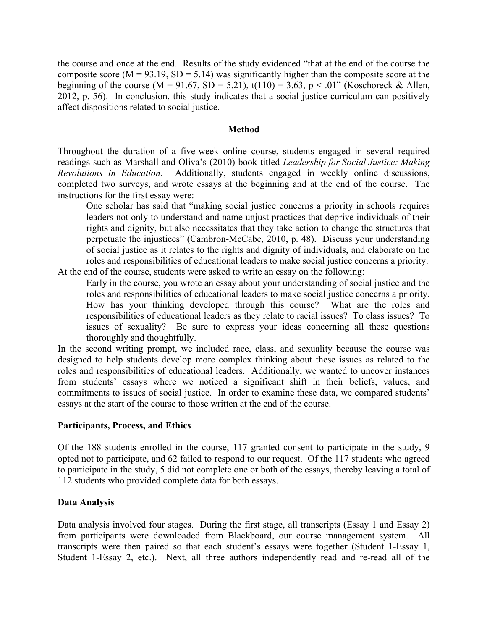the course and once at the end. Results of the study evidenced "that at the end of the course the composite score ( $M = 93.19$ ,  $SD = 5.14$ ) was significantly higher than the composite score at the beginning of the course  $(M = 91.67, SD = 5.21)$ ,  $t(110) = 3.63, p < .01$ " (Koschoreck & Allen, 2012, p. 56). In conclusion, this study indicates that a social justice curriculum can positively affect dispositions related to social justice.

#### **Method**

Throughout the duration of a five-week online course, students engaged in several required readings such as Marshall and Oliva's (2010) book titled *Leadership for Social Justice: Making Revolutions in Education*. Additionally, students engaged in weekly online discussions, completed two surveys, and wrote essays at the beginning and at the end of the course. The instructions for the first essay were:

One scholar has said that "making social justice concerns a priority in schools requires leaders not only to understand and name unjust practices that deprive individuals of their rights and dignity, but also necessitates that they take action to change the structures that perpetuate the injustices" (Cambron-McCabe, 2010, p. 48). Discuss your understanding of social justice as it relates to the rights and dignity of individuals, and elaborate on the roles and responsibilities of educational leaders to make social justice concerns a priority. At the end of the course, students were asked to write an essay on the following:

Early in the course, you wrote an essay about your understanding of social justice and the roles and responsibilities of educational leaders to make social justice concerns a priority. How has your thinking developed through this course? What are the roles and responsibilities of educational leaders as they relate to racial issues? To class issues? To issues of sexuality? Be sure to express your ideas concerning all these questions thoroughly and thoughtfully.

In the second writing prompt, we included race, class, and sexuality because the course was designed to help students develop more complex thinking about these issues as related to the roles and responsibilities of educational leaders. Additionally, we wanted to uncover instances from students' essays where we noticed a significant shift in their beliefs, values, and commitments to issues of social justice. In order to examine these data, we compared students' essays at the start of the course to those written at the end of the course.

## **Participants, Process, and Ethics**

Of the 188 students enrolled in the course, 117 granted consent to participate in the study, 9 opted not to participate, and 62 failed to respond to our request. Of the 117 students who agreed to participate in the study, 5 did not complete one or both of the essays, thereby leaving a total of 112 students who provided complete data for both essays.

## **Data Analysis**

Data analysis involved four stages. During the first stage, all transcripts (Essay 1 and Essay 2) from participants were downloaded from Blackboard, our course management system. All transcripts were then paired so that each student's essays were together (Student 1-Essay 1, Student 1-Essay 2, etc.). Next, all three authors independently read and re-read all of the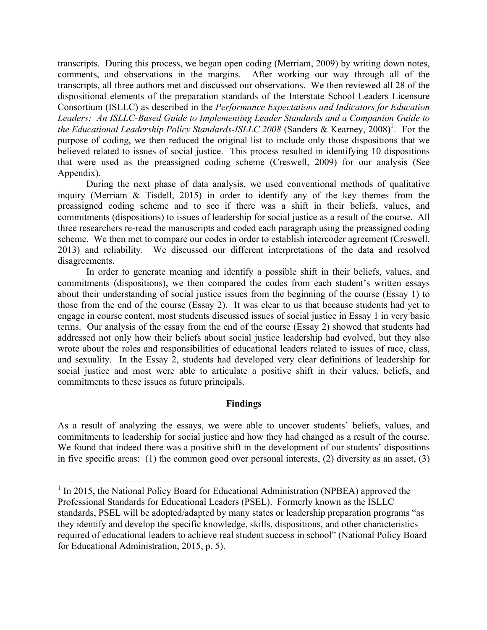transcripts. During this process, we began open coding (Merriam, 2009) by writing down notes, comments, and observations in the margins. After working our way through all of the transcripts, all three authors met and discussed our observations. We then reviewed all 28 of the dispositional elements of the preparation standards of the Interstate School Leaders Licensure Consortium (ISLLC) as described in the *Performance Expectations and Indicators for Education Leaders: An ISLLC-Based Guide to Implementing Leader Standards and a Companion Guide to*  the Educational Leadership Policy Standards-ISLLC 2008 (Sanders & Kearney, 2008)<sup>1</sup>. For the purpose of coding, we then reduced the original list to include only those dispositions that we believed related to issues of social justice. This process resulted in identifying 10 dispositions that were used as the preassigned coding scheme (Creswell, 2009) for our analysis (See Appendix).

During the next phase of data analysis, we used conventional methods of qualitative inquiry (Merriam & Tisdell, 2015) in order to identify any of the key themes from the preassigned coding scheme and to see if there was a shift in their beliefs, values, and commitments (dispositions) to issues of leadership for social justice as a result of the course. All three researchers re-read the manuscripts and coded each paragraph using the preassigned coding scheme. We then met to compare our codes in order to establish intercoder agreement (Creswell, 2013) and reliability. We discussed our different interpretations of the data and resolved disagreements.

In order to generate meaning and identify a possible shift in their beliefs, values, and commitments (dispositions), we then compared the codes from each student's written essays about their understanding of social justice issues from the beginning of the course (Essay 1) to those from the end of the course (Essay 2). It was clear to us that because students had yet to engage in course content, most students discussed issues of social justice in Essay 1 in very basic terms. Our analysis of the essay from the end of the course (Essay 2) showed that students had addressed not only how their beliefs about social justice leadership had evolved, but they also wrote about the roles and responsibilities of educational leaders related to issues of race, class, and sexuality. In the Essay 2, students had developed very clear definitions of leadership for social justice and most were able to articulate a positive shift in their values, beliefs, and commitments to these issues as future principals.

#### **Findings**

As a result of analyzing the essays, we were able to uncover students' beliefs, values, and commitments to leadership for social justice and how they had changed as a result of the course. We found that indeed there was a positive shift in the development of our students' dispositions in five specific areas: (1) the common good over personal interests, (2) diversity as an asset, (3)

 $1$  In 2015, the National Policy Board for Educational Administration (NPBEA) approved the Professional Standards for Educational Leaders (PSEL). Formerly known as the ISLLC standards, PSEL will be adopted/adapted by many states or leadership preparation programs "as they identify and develop the specific knowledge, skills, dispositions, and other characteristics required of educational leaders to achieve real student success in school" (National Policy Board for Educational Administration, 2015, p. 5).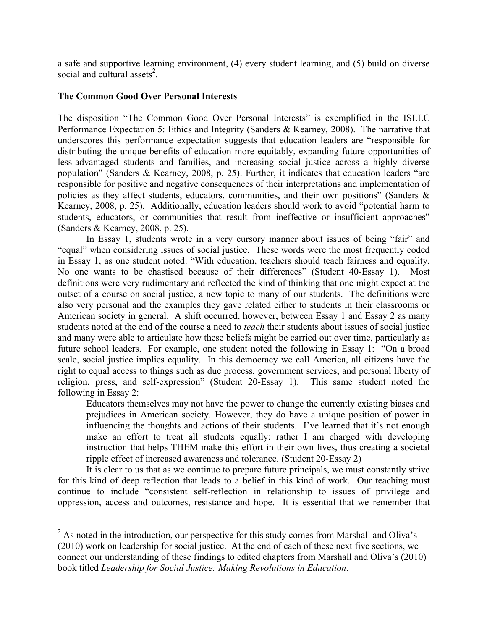a safe and supportive learning environment, (4) every student learning, and (5) build on diverse social and cultural assets<sup>2</sup>.

## **The Common Good Over Personal Interests**

The disposition "The Common Good Over Personal Interests" is exemplified in the ISLLC Performance Expectation 5: Ethics and Integrity (Sanders & Kearney, 2008). The narrative that underscores this performance expectation suggests that education leaders are "responsible for distributing the unique benefits of education more equitably, expanding future opportunities of less-advantaged students and families, and increasing social justice across a highly diverse population" (Sanders & Kearney, 2008, p. 25). Further, it indicates that education leaders "are responsible for positive and negative consequences of their interpretations and implementation of policies as they affect students, educators, communities, and their own positions" (Sanders & Kearney, 2008, p. 25). Additionally, education leaders should work to avoid "potential harm to students, educators, or communities that result from ineffective or insufficient approaches" (Sanders & Kearney, 2008, p. 25).

In Essay 1, students wrote in a very cursory manner about issues of being "fair" and "equal" when considering issues of social justice. These words were the most frequently coded in Essay 1, as one student noted: "With education, teachers should teach fairness and equality. No one wants to be chastised because of their differences" (Student 40-Essay 1). Most definitions were very rudimentary and reflected the kind of thinking that one might expect at the outset of a course on social justice, a new topic to many of our students. The definitions were also very personal and the examples they gave related either to students in their classrooms or American society in general. A shift occurred, however, between Essay 1 and Essay 2 as many students noted at the end of the course a need to *teach* their students about issues of social justice and many were able to articulate how these beliefs might be carried out over time, particularly as future school leaders. For example, one student noted the following in Essay 1: "On a broad scale, social justice implies equality. In this democracy we call America, all citizens have the right to equal access to things such as due process, government services, and personal liberty of religion, press, and self-expression" (Student 20-Essay 1). This same student noted the following in Essay 2:

Educators themselves may not have the power to change the currently existing biases and prejudices in American society. However, they do have a unique position of power in influencing the thoughts and actions of their students. I've learned that it's not enough make an effort to treat all students equally; rather I am charged with developing instruction that helps THEM make this effort in their own lives, thus creating a societal ripple effect of increased awareness and tolerance. (Student 20-Essay 2)

It is clear to us that as we continue to prepare future principals, we must constantly strive for this kind of deep reflection that leads to a belief in this kind of work. Our teaching must continue to include "consistent self-reflection in relationship to issues of privilege and oppression, access and outcomes, resistance and hope. It is essential that we remember that

 $2\text{ As noted in the introduction, our perspective for this study comes from Marshall and Oliva's}$ (2010) work on leadership for social justice. At the end of each of these next five sections, we connect our understanding of these findings to edited chapters from Marshall and Oliva's (2010) book titled *Leadership for Social Justice: Making Revolutions in Education*.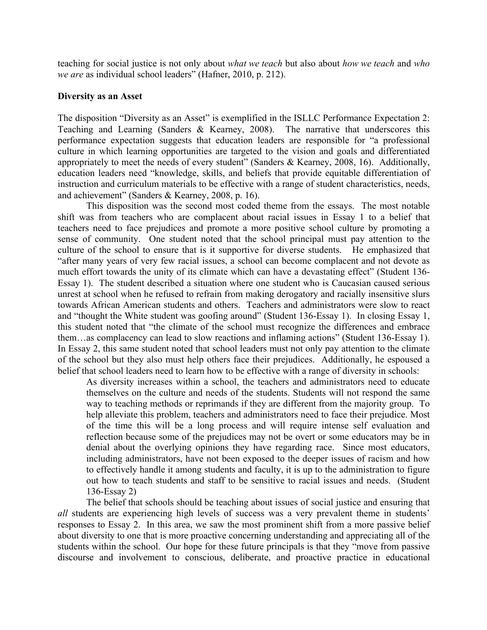teaching for social justice is not only about *what we teach* but also about *how we teach* and *who we are* as individual school leaders" (Hafner, 2010, p. 212).

#### **Diversity as an Asset**

The disposition "Diversity as an Asset" is exemplified in the ISLLC Performance Expectation 2: Teaching and Learning (Sanders & Kearney, 2008). The narrative that underscores this performance expectation suggests that education leaders are responsible for "a professional culture in which learning opportunities are targeted to the vision and goals and differentiated appropriately to meet the needs of every student" (Sanders & Kearney, 2008, 16). Additionally, education leaders need "knowledge, skills, and beliefs that provide equitable differentiation of instruction and curriculum materials to be effective with a range of student characteristics, needs, and achievement" (Sanders & Kearney, 2008, p. 16).

This disposition was the second most coded theme from the essays. The most notable shift was from teachers who are complacent about racial issues in Essay 1 to a belief that teachers need to face prejudices and promote a more positive school culture by promoting a sense of community.One student noted that the school principal must pay attention to the culture of the school to ensure that is it supportive for diverse students. He emphasized that "after many years of very few racial issues, a school can become complacent and not devote as much effort towards the unity of its climate which can have a devastating effect" (Student 136- Essay 1). The student described a situation where one student who is Caucasian caused serious unrest at school when he refused to refrain from making derogatory and racially insensitive slurs towards African American students and others. Teachers and administrators were slow to react and "thought the White student was goofing around" (Student 136-Essay 1). In closing Essay 1, this student noted that "the climate of the school must recognize the differences and embrace them…as complacency can lead to slow reactions and inflaming actions" (Student 136-Essay 1). In Essay 2, this same student noted that school leaders must not only pay attention to the climate of the school but they also must help others face their prejudices. Additionally, he espoused a belief that school leaders need to learn how to be effective with a range of diversity in schools:

As diversity increases within a school, the teachers and administrators need to educate themselves on the culture and needs of the students. Students will not respond the same way to teaching methods or reprimands if they are different from the majority group. To help alleviate this problem, teachers and administrators need to face their prejudice. Most of the time this will be a long process and will require intense self evaluation and reflection because some of the prejudices may not be overt or some educators may be in denial about the overlying opinions they have regarding race. Since most educators, including administrators, have not been exposed to the deeper issues of racism and how to effectively handle it among students and faculty, it is up to the administration to figure out how to teach students and staff to be sensitive to racial issues and needs. (Student 136-Essay 2)

The belief that schools should be teaching about issues of social justice and ensuring that *all* students are experiencing high levels of success was a very prevalent theme in students' responses to Essay 2. In this area, we saw the most prominent shift from a more passive belief about diversity to one that is more proactive concerning understanding and appreciating all of the students within the school. Our hope for these future principals is that they "move from passive discourse and involvement to conscious, deliberate, and proactive practice in educational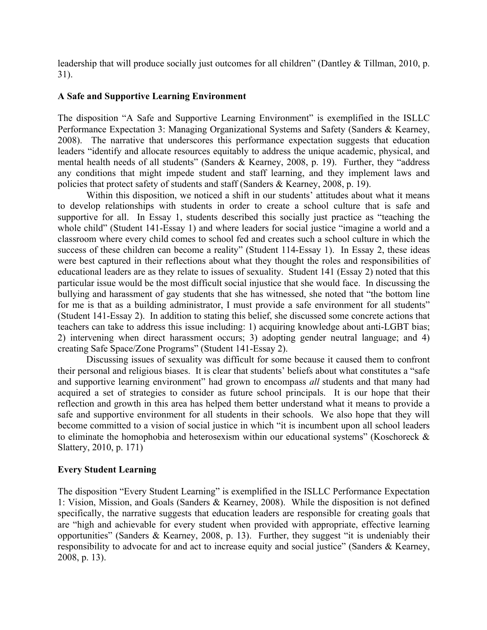leadership that will produce socially just outcomes for all children" (Dantley & Tillman, 2010, p. 31).

## **A Safe and Supportive Learning Environment**

The disposition "A Safe and Supportive Learning Environment" is exemplified in the ISLLC Performance Expectation 3: Managing Organizational Systems and Safety (Sanders & Kearney, 2008). The narrative that underscores this performance expectation suggests that education leaders "identify and allocate resources equitably to address the unique academic, physical, and mental health needs of all students" (Sanders & Kearney, 2008, p. 19). Further, they "address any conditions that might impede student and staff learning, and they implement laws and policies that protect safety of students and staff (Sanders & Kearney, 2008, p. 19).

Within this disposition, we noticed a shift in our students' attitudes about what it means to develop relationships with students in order to create a school culture that is safe and supportive for all. In Essay 1, students described this socially just practice as "teaching the whole child" (Student 141-Essay 1) and where leaders for social justice "imagine a world and a classroom where every child comes to school fed and creates such a school culture in which the success of these children can become a reality" (Student 114-Essay 1). In Essay 2, these ideas were best captured in their reflections about what they thought the roles and responsibilities of educational leaders are as they relate to issues of sexuality. Student 141 (Essay 2) noted that this particular issue would be the most difficult social injustice that she would face. In discussing the bullying and harassment of gay students that she has witnessed, she noted that "the bottom line for me is that as a building administrator, I must provide a safe environment for all students" (Student 141-Essay 2). In addition to stating this belief, she discussed some concrete actions that teachers can take to address this issue including: 1) acquiring knowledge about anti-LGBT bias; 2) intervening when direct harassment occurs; 3) adopting gender neutral language; and 4) creating Safe Space/Zone Programs" (Student 141-Essay 2).

Discussing issues of sexuality was difficult for some because it caused them to confront their personal and religious biases. It is clear that students' beliefs about what constitutes a "safe and supportive learning environment" had grown to encompass *all* students and that many had acquired a set of strategies to consider as future school principals. It is our hope that their reflection and growth in this area has helped them better understand what it means to provide a safe and supportive environment for all students in their schools. We also hope that they will become committed to a vision of social justice in which "it is incumbent upon all school leaders to eliminate the homophobia and heterosexism within our educational systems" (Koschoreck & Slattery, 2010, p. 171)

## **Every Student Learning**

The disposition "Every Student Learning" is exemplified in the ISLLC Performance Expectation 1: Vision, Mission, and Goals (Sanders & Kearney, 2008). While the disposition is not defined specifically, the narrative suggests that education leaders are responsible for creating goals that are "high and achievable for every student when provided with appropriate, effective learning opportunities" (Sanders & Kearney, 2008, p. 13). Further, they suggest "it is undeniably their responsibility to advocate for and act to increase equity and social justice" (Sanders & Kearney, 2008, p. 13).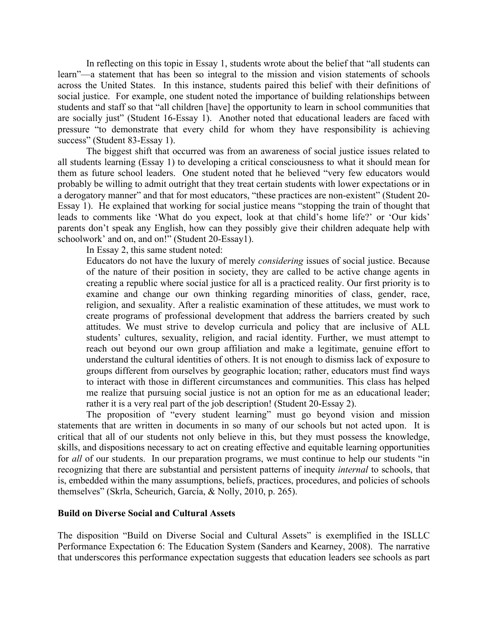In reflecting on this topic in Essay 1, students wrote about the belief that "all students can learn"—a statement that has been so integral to the mission and vision statements of schools across the United States. In this instance, students paired this belief with their definitions of social justice. For example, one student noted the importance of building relationships between students and staff so that "all children [have] the opportunity to learn in school communities that are socially just" (Student 16-Essay 1). Another noted that educational leaders are faced with pressure "to demonstrate that every child for whom they have responsibility is achieving success" (Student 83-Essay 1).

The biggest shift that occurred was from an awareness of social justice issues related to all students learning (Essay 1) to developing a critical consciousness to what it should mean for them as future school leaders. One student noted that he believed "very few educators would probably be willing to admit outright that they treat certain students with lower expectations or in a derogatory manner" and that for most educators, "these practices are non-existent" (Student 20- Essay 1). He explained that working for social justice means "stopping the train of thought that leads to comments like 'What do you expect, look at that child's home life?' or 'Our kids' parents don't speak any English, how can they possibly give their children adequate help with schoolwork' and on, and on!" (Student 20-Essay1).

In Essay 2, this same student noted:

Educators do not have the luxury of merely *considering* issues of social justice. Because of the nature of their position in society, they are called to be active change agents in creating a republic where social justice for all is a practiced reality. Our first priority is to examine and change our own thinking regarding minorities of class, gender, race, religion, and sexuality. After a realistic examination of these attitudes, we must work to create programs of professional development that address the barriers created by such attitudes. We must strive to develop curricula and policy that are inclusive of ALL students' cultures, sexuality, religion, and racial identity. Further, we must attempt to reach out beyond our own group affiliation and make a legitimate, genuine effort to understand the cultural identities of others. It is not enough to dismiss lack of exposure to groups different from ourselves by geographic location; rather, educators must find ways to interact with those in different circumstances and communities. This class has helped me realize that pursuing social justice is not an option for me as an educational leader; rather it is a very real part of the job description! (Student 20-Essay 2).

The proposition of "every student learning" must go beyond vision and mission statements that are written in documents in so many of our schools but not acted upon. It is critical that all of our students not only believe in this, but they must possess the knowledge, skills, and dispositions necessary to act on creating effective and equitable learning opportunities for *all* of our students. In our preparation programs, we must continue to help our students "in recognizing that there are substantial and persistent patterns of inequity *internal* to schools, that is, embedded within the many assumptions, beliefs, practices, procedures, and policies of schools themselves" (Skrla, Scheurich, García, & Nolly, 2010, p. 265).

## **Build on Diverse Social and Cultural Assets**

The disposition "Build on Diverse Social and Cultural Assets" is exemplified in the ISLLC Performance Expectation 6: The Education System (Sanders and Kearney, 2008). The narrative that underscores this performance expectation suggests that education leaders see schools as part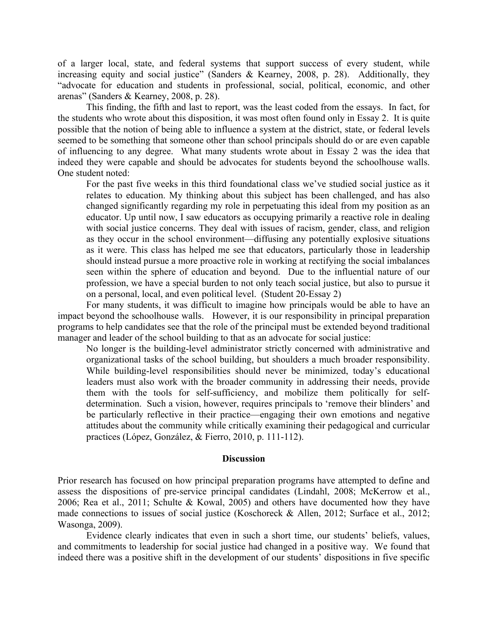of a larger local, state, and federal systems that support success of every student, while increasing equity and social justice" (Sanders & Kearney, 2008, p. 28). Additionally, they "advocate for education and students in professional, social, political, economic, and other arenas" (Sanders & Kearney, 2008, p. 28).

This finding, the fifth and last to report, was the least coded from the essays. In fact, for the students who wrote about this disposition, it was most often found only in Essay 2. It is quite possible that the notion of being able to influence a system at the district, state, or federal levels seemed to be something that someone other than school principals should do or are even capable of influencing to any degree. What many students wrote about in Essay 2 was the idea that indeed they were capable and should be advocates for students beyond the schoolhouse walls. One student noted:

For the past five weeks in this third foundational class we've studied social justice as it relates to education. My thinking about this subject has been challenged, and has also changed significantly regarding my role in perpetuating this ideal from my position as an educator. Up until now, I saw educators as occupying primarily a reactive role in dealing with social justice concerns. They deal with issues of racism, gender, class, and religion as they occur in the school environment—diffusing any potentially explosive situations as it were. This class has helped me see that educators, particularly those in leadership should instead pursue a more proactive role in working at rectifying the social imbalances seen within the sphere of education and beyond. Due to the influential nature of our profession, we have a special burden to not only teach social justice, but also to pursue it on a personal, local, and even political level. (Student 20-Essay 2)

For many students, it was difficult to imagine how principals would be able to have an impact beyond the schoolhouse walls. However, it is our responsibility in principal preparation programs to help candidates see that the role of the principal must be extended beyond traditional manager and leader of the school building to that as an advocate for social justice:

No longer is the building-level administrator strictly concerned with administrative and organizational tasks of the school building, but shoulders a much broader responsibility. While building-level responsibilities should never be minimized, today's educational leaders must also work with the broader community in addressing their needs, provide them with the tools for self-sufficiency, and mobilize them politically for selfdetermination. Such a vision, however, requires principals to 'remove their blinders' and be particularly reflective in their practice—engaging their own emotions and negative attitudes about the community while critically examining their pedagogical and curricular practices (López, González, & Fierro, 2010, p. 111-112).

#### **Discussion**

Prior research has focused on how principal preparation programs have attempted to define and assess the dispositions of pre-service principal candidates (Lindahl, 2008; McKerrow et al., 2006; Rea et al., 2011; Schulte & Kowal, 2005) and others have documented how they have made connections to issues of social justice (Koschoreck & Allen, 2012; Surface et al., 2012; Wasonga, 2009).

Evidence clearly indicates that even in such a short time, our students' beliefs, values, and commitments to leadership for social justice had changed in a positive way. We found that indeed there was a positive shift in the development of our students' dispositions in five specific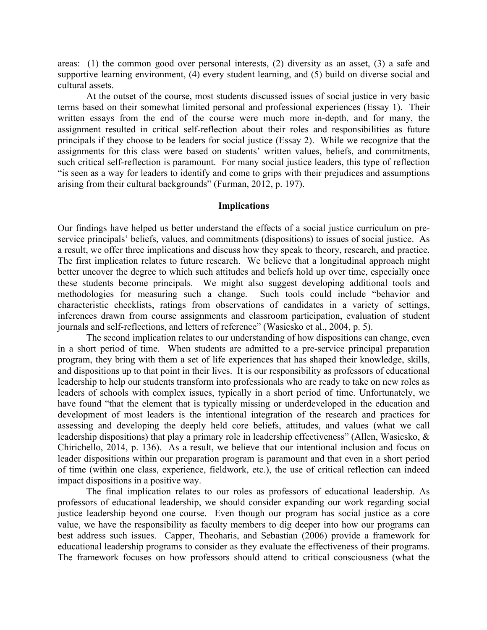areas: (1) the common good over personal interests, (2) diversity as an asset, (3) a safe and supportive learning environment, (4) every student learning, and (5) build on diverse social and cultural assets.

At the outset of the course, most students discussed issues of social justice in very basic terms based on their somewhat limited personal and professional experiences (Essay 1). Their written essays from the end of the course were much more in-depth, and for many, the assignment resulted in critical self-reflection about their roles and responsibilities as future principals if they choose to be leaders for social justice (Essay 2). While we recognize that the assignments for this class were based on students' written values, beliefs, and commitments, such critical self-reflection is paramount. For many social justice leaders, this type of reflection "is seen as a way for leaders to identify and come to grips with their prejudices and assumptions arising from their cultural backgrounds" (Furman, 2012, p. 197).

#### **Implications**

Our findings have helped us better understand the effects of a social justice curriculum on preservice principals' beliefs, values, and commitments (dispositions) to issues of social justice. As a result, we offer three implications and discuss how they speak to theory, research, and practice. The first implication relates to future research. We believe that a longitudinal approach might better uncover the degree to which such attitudes and beliefs hold up over time, especially once these students become principals. We might also suggest developing additional tools and methodologies for measuring such a change. Such tools could include "behavior and characteristic checklists, ratings from observations of candidates in a variety of settings, inferences drawn from course assignments and classroom participation, evaluation of student journals and self-reflections, and letters of reference" (Wasicsko et al., 2004, p. 5).

The second implication relates to our understanding of how dispositions can change, even in a short period of time. When students are admitted to a pre-service principal preparation program, they bring with them a set of life experiences that has shaped their knowledge, skills, and dispositions up to that point in their lives. It is our responsibility as professors of educational leadership to help our students transform into professionals who are ready to take on new roles as leaders of schools with complex issues, typically in a short period of time. Unfortunately, we have found "that the element that is typically missing or underdeveloped in the education and development of most leaders is the intentional integration of the research and practices for assessing and developing the deeply held core beliefs, attitudes, and values (what we call leadership dispositions) that play a primary role in leadership effectiveness" (Allen, Wasicsko, & Chirichello, 2014, p. 136). As a result, we believe that our intentional inclusion and focus on leader dispositions within our preparation program is paramount and that even in a short period of time (within one class, experience, fieldwork, etc.), the use of critical reflection can indeed impact dispositions in a positive way.

The final implication relates to our roles as professors of educational leadership. As professors of educational leadership, we should consider expanding our work regarding social justice leadership beyond one course. Even though our program has social justice as a core value, we have the responsibility as faculty members to dig deeper into how our programs can best address such issues. Capper, Theoharis, and Sebastian (2006) provide a framework for educational leadership programs to consider as they evaluate the effectiveness of their programs. The framework focuses on how professors should attend to critical consciousness (what the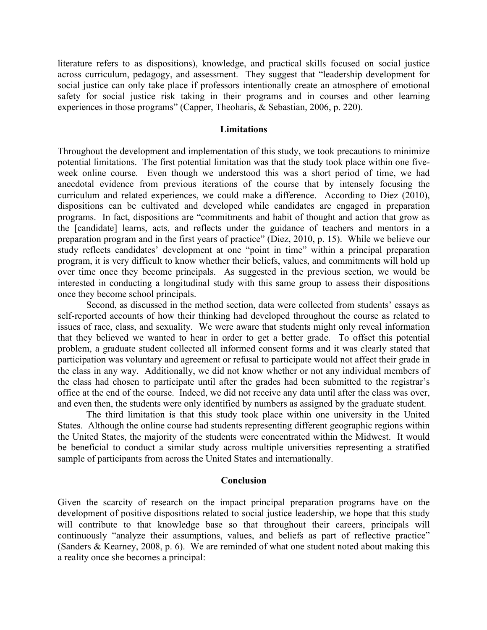literature refers to as dispositions), knowledge, and practical skills focused on social justice across curriculum, pedagogy, and assessment. They suggest that "leadership development for social justice can only take place if professors intentionally create an atmosphere of emotional safety for social justice risk taking in their programs and in courses and other learning experiences in those programs" (Capper, Theoharis, & Sebastian, 2006, p. 220).

#### **Limitations**

Throughout the development and implementation of this study, we took precautions to minimize potential limitations. The first potential limitation was that the study took place within one fiveweek online course. Even though we understood this was a short period of time, we had anecdotal evidence from previous iterations of the course that by intensely focusing the curriculum and related experiences, we could make a difference. According to Diez (2010), dispositions can be cultivated and developed while candidates are engaged in preparation programs. In fact, dispositions are "commitments and habit of thought and action that grow as the [candidate] learns, acts, and reflects under the guidance of teachers and mentors in a preparation program and in the first years of practice" (Diez, 2010, p. 15). While we believe our study reflects candidates' development at one "point in time" within a principal preparation program, it is very difficult to know whether their beliefs, values, and commitments will hold up over time once they become principals. As suggested in the previous section, we would be interested in conducting a longitudinal study with this same group to assess their dispositions once they become school principals.

Second, as discussed in the method section, data were collected from students' essays as self-reported accounts of how their thinking had developed throughout the course as related to issues of race, class, and sexuality. We were aware that students might only reveal information that they believed we wanted to hear in order to get a better grade. To offset this potential problem, a graduate student collected all informed consent forms and it was clearly stated that participation was voluntary and agreement or refusal to participate would not affect their grade in the class in any way. Additionally, we did not know whether or not any individual members of the class had chosen to participate until after the grades had been submitted to the registrar's office at the end of the course. Indeed, we did not receive any data until after the class was over, and even then, the students were only identified by numbers as assigned by the graduate student.

The third limitation is that this study took place within one university in the United States. Although the online course had students representing different geographic regions within the United States, the majority of the students were concentrated within the Midwest. It would be beneficial to conduct a similar study across multiple universities representing a stratified sample of participants from across the United States and internationally.

#### **Conclusion**

Given the scarcity of research on the impact principal preparation programs have on the development of positive dispositions related to social justice leadership, we hope that this study will contribute to that knowledge base so that throughout their careers, principals will continuously "analyze their assumptions, values, and beliefs as part of reflective practice" (Sanders & Kearney, 2008, p. 6). We are reminded of what one student noted about making this a reality once she becomes a principal: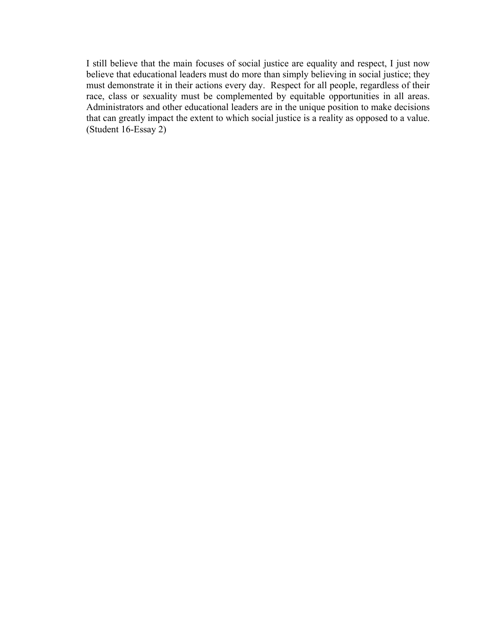I still believe that the main focuses of social justice are equality and respect, I just now believe that educational leaders must do more than simply believing in social justice; they must demonstrate it in their actions every day. Respect for all people, regardless of their race, class or sexuality must be complemented by equitable opportunities in all areas. Administrators and other educational leaders are in the unique position to make decisions that can greatly impact the extent to which social justice is a reality as opposed to a value. (Student 16-Essay 2)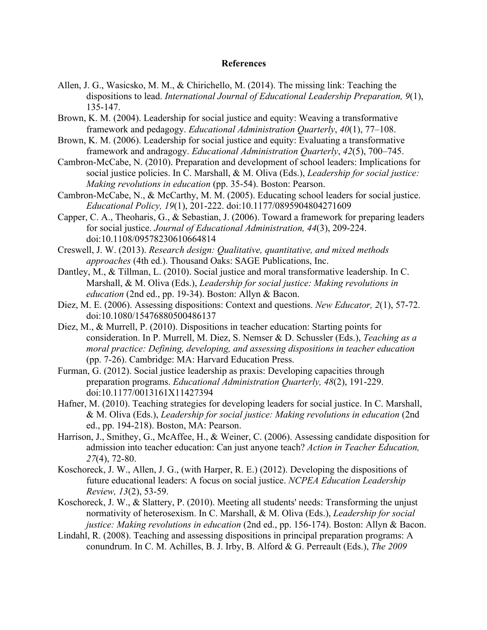#### **References**

- Allen, J. G., Wasicsko, M. M., & Chirichello, M. (2014). The missing link: Teaching the dispositions to lead. *International Journal of Educational Leadership Preparation, 9*(1), 135-147.
- Brown, K. M. (2004). Leadership for social justice and equity: Weaving a transformative framework and pedagogy. *Educational Administration Quarterly*, *40*(1), 77–108.
- Brown, K. M. (2006). Leadership for social justice and equity: Evaluating a transformative framework and andragogy. *Educational Administration Quarterly*, *42*(5), 700–745.
- Cambron-McCabe, N. (2010). Preparation and development of school leaders: Implications for social justice policies. In C. Marshall, & M. Oliva (Eds.), *Leadership for social justice: Making revolutions in education* (pp. 35-54). Boston: Pearson.
- Cambron-McCabe, N., & McCarthy, M. M. (2005). Educating school leaders for social justice. *Educational Policy, 19*(1), 201-222. doi:10.1177/0895904804271609
- Capper, C. A., Theoharis, G., & Sebastian, J. (2006). Toward a framework for preparing leaders for social justice. *Journal of Educational Administration, 44*(3), 209-224. doi:10.1108/09578230610664814
- Creswell, J. W. (2013). *Research design: Qualitative, quantitative, and mixed methods approaches* (4th ed.). Thousand Oaks: SAGE Publications, Inc.
- Dantley, M., & Tillman, L. (2010). Social justice and moral transformative leadership. In C. Marshall, & M. Oliva (Eds.), *Leadership for social justice: Making revolutions in education* (2nd ed., pp. 19-34). Boston: Allyn & Bacon.
- Diez, M. E. (2006). Assessing dispositions: Context and questions. *New Educator, 2*(1), 57-72. doi:10.1080/15476880500486137
- Diez, M., & Murrell, P. (2010). Dispositions in teacher education: Starting points for consideration. In P. Murrell, M. Diez, S. Nemser & D. Schussler (Eds.), *Teaching as a moral practice: Defining, developing, and assessing dispositions in teacher education* (pp. 7-26). Cambridge: MA: Harvard Education Press.
- Furman, G. (2012). Social justice leadership as praxis: Developing capacities through preparation programs. *Educational Administration Quarterly, 48*(2), 191-229. doi:10.1177/0013161X11427394
- Hafner, M. (2010). Teaching strategies for developing leaders for social justice. In C. Marshall, & M. Oliva (Eds.), *Leadership for social justice: Making revolutions in education* (2nd ed., pp. 194-218). Boston, MA: Pearson.
- Harrison, J., Smithey, G., McAffee, H., & Weiner, C. (2006). Assessing candidate disposition for admission into teacher education: Can just anyone teach? *Action in Teacher Education, 27*(4), 72-80.
- Koschoreck, J. W., Allen, J. G., (with Harper, R. E.) (2012). Developing the dispositions of future educational leaders: A focus on social justice. *NCPEA Education Leadership Review, 13*(2), 53-59.
- Koschoreck, J. W., & Slattery, P. (2010). Meeting all students' needs: Transforming the unjust normativity of heterosexism. In C. Marshall, & M. Oliva (Eds.), *Leadership for social justice: Making revolutions in education* (2nd ed., pp. 156-174). Boston: Allyn & Bacon.
- Lindahl, R. (2008). Teaching and assessing dispositions in principal preparation programs: A conundrum. In C. M. Achilles, B. J. Irby, B. Alford & G. Perreault (Eds.), *The 2009*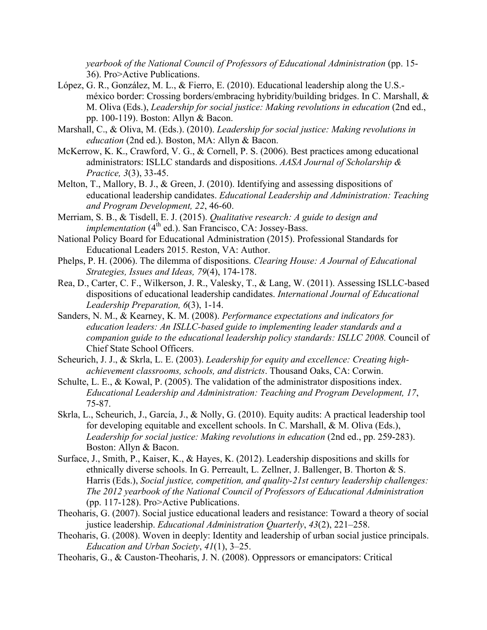*yearbook of the National Council of Professors of Educational Administration* (pp. 15- 36). Pro>Active Publications.

- López, G. R., González, M. L., & Fierro, E. (2010). Educational leadership along the U.S. méxico border: Crossing borders/embracing hybridity/building bridges. In C. Marshall, & M. Oliva (Eds.), *Leadership for social justice: Making revolutions in education* (2nd ed., pp. 100-119). Boston: Allyn & Bacon.
- Marshall, C., & Oliva, M. (Eds.). (2010). *Leadership for social justice: Making revolutions in education* (2nd ed.). Boston, MA: Allyn & Bacon.
- McKerrow, K. K., Crawford, V. G., & Cornell, P. S. (2006). Best practices among educational administrators: ISLLC standards and dispositions. *AASA Journal of Scholarship & Practice, 3*(3), 33-45.
- Melton, T., Mallory, B. J., & Green, J. (2010). Identifying and assessing dispositions of educational leadership candidates. *Educational Leadership and Administration: Teaching and Program Development, 22*, 46-60.
- Merriam, S. B., & Tisdell, E. J. (2015). *Qualitative research: A guide to design and implementation* (4<sup>th</sup> ed.). San Francisco, CA: Jossey-Bass.
- National Policy Board for Educational Administration (2015). Professional Standards for Educational Leaders 2015. Reston, VA: Author.
- Phelps, P. H. (2006). The dilemma of dispositions. *Clearing House: A Journal of Educational Strategies, Issues and Ideas, 79*(4), 174-178.
- Rea, D., Carter, C. F., Wilkerson, J. R., Valesky, T., & Lang, W. (2011). Assessing ISLLC-based dispositions of educational leadership candidates. *International Journal of Educational Leadership Preparation, 6*(3), 1-14.
- Sanders, N. M., & Kearney, K. M. (2008). *Performance expectations and indicators for education leaders: An ISLLC-based guide to implementing leader standards and a companion guide to the educational leadership policy standards: ISLLC 2008.* Council of Chief State School Officers.
- Scheurich, J. J., & Skrla, L. E. (2003). *Leadership for equity and excellence: Creating highachievement classrooms, schools, and districts*. Thousand Oaks, CA: Corwin.
- Schulte, L. E., & Kowal, P. (2005). The validation of the administrator dispositions index. *Educational Leadership and Administration: Teaching and Program Development, 17*, 75-87.
- Skrla, L., Scheurich, J., García, J., & Nolly, G. (2010). Equity audits: A practical leadership tool for developing equitable and excellent schools. In C. Marshall, & M. Oliva (Eds.), *Leadership for social justice: Making revolutions in education* (2nd ed., pp. 259-283). Boston: Allyn & Bacon.
- Surface, J., Smith, P., Kaiser, K., & Hayes, K. (2012). Leadership dispositions and skills for ethnically diverse schools. In G. Perreault, L. Zellner, J. Ballenger, B. Thorton & S. Harris (Eds.), *Social justice, competition, and quality-21st century leadership challenges: The 2012 yearbook of the National Council of Professors of Educational Administration* (pp. 117-128). Pro>Active Publications.
- Theoharis, G. (2007). Social justice educational leaders and resistance: Toward a theory of social justice leadership. *Educational Administration Quarterly*, *43*(2), 221–258.
- Theoharis, G. (2008). Woven in deeply: Identity and leadership of urban social justice principals. *Education and Urban Society*, *41*(1), 3–25.
- Theoharis, G., & Causton-Theoharis, J. N. (2008). Oppressors or emancipators: Critical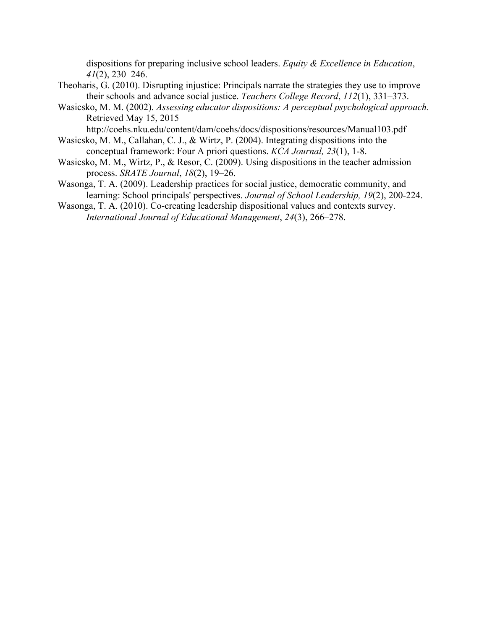dispositions for preparing inclusive school leaders. *Equity & Excellence in Education*, *41*(2), 230–246.

- Theoharis, G. (2010). Disrupting injustice: Principals narrate the strategies they use to improve their schools and advance social justice. *Teachers College Record*, *112*(1), 331–373.
- Wasicsko, M. M. (2002). *Assessing educator dispositions: A perceptual psychological approach.* Retrieved May 15, 2015

http://coehs.nku.edu/content/dam/coehs/docs/dispositions/resources/Manual103.pdf

- Wasicsko, M. M., Callahan, C. J., & Wirtz, P. (2004). Integrating dispositions into the conceptual framework: Four A priori questions. *KCA Journal, 23*(1), 1-8.
- Wasicsko, M. M., Wirtz, P., & Resor, C. (2009). Using dispositions in the teacher admission process. *SRATE Journal*, *18*(2), 19–26.
- Wasonga, T. A. (2009). Leadership practices for social justice, democratic community, and learning: School principals' perspectives. *Journal of School Leadership, 19*(2), 200-224.
- Wasonga, T. A. (2010). Co-creating leadership dispositional values and contexts survey. *International Journal of Educational Management*, *24*(3), 266–278.